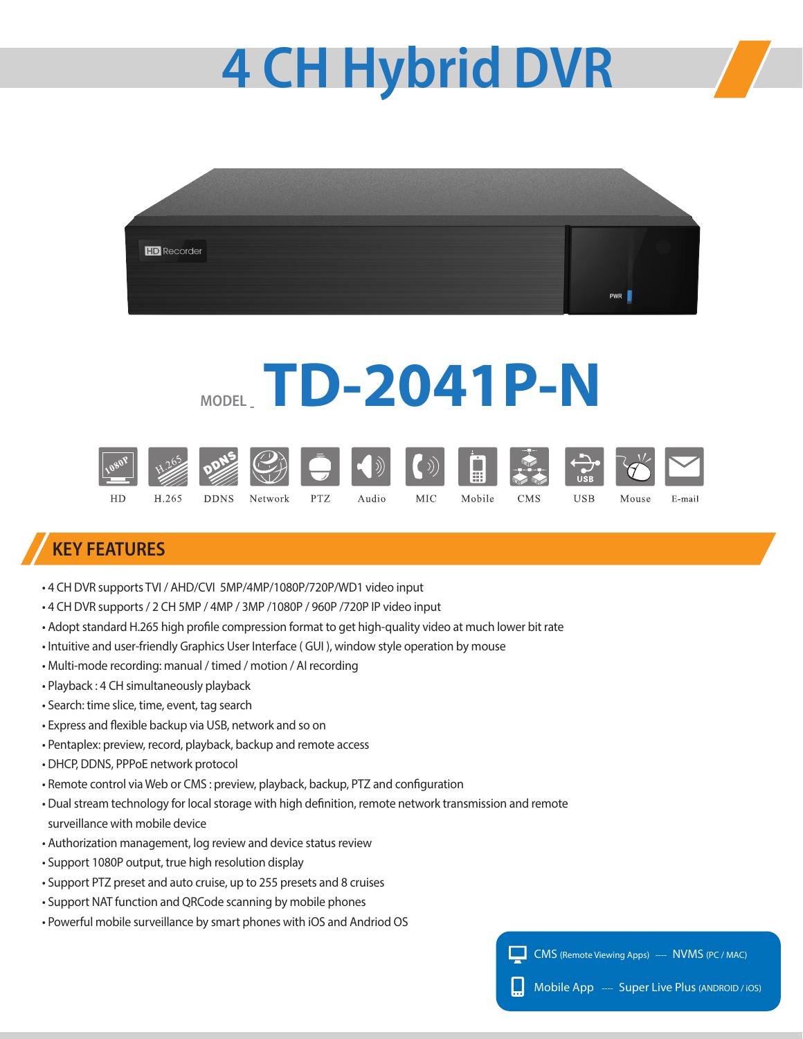# 4 CH Hybrid DVR



## MODEL TD-2041P-N









Mobile

**CMS** 



**USB** 

E-mail

## KEY FEATURES

 $HD$ 

- 4 CH DVR supports TVI / AHD/CVI 5MP/4MP/1080P/720P/WD1 video input
- 4 CH DVR supports / 2 CH 5MP / 4MP / 3MP /1080P / 960P /720P IP video input
- Adopt standard H.265 high profile compression format to get high-quality video at much lower bit rate
- Intuitive and user-friendly Graphics User Interface ( GUI ), window style operation by mouse
- Multi-mode recording: manual / timed / motion / AI recording
- Playback : 4 CH simultaneously playback
- Search: time slice, time, event, tag search
- Express and flexible backup via USB, network and so on
- Pentaplex: preview, record, playback, backup and remote access
- DHCP, DDNS, PPPoE network protocol
- Remote control via Web or CMS : preview, playback, backup, PTZ and configuration
- Dual stream technology for local storage with high definition, remote network transmission and remote surveillance with mobile device
- Authorization management, log review and device status review
- Support 1080P output, true high resolution display
- Support PTZ preset and auto cruise, up to 255 presets and 8 cruises
- Support NAT function and QRCode scanning by mobile phones
- Powerful mobile surveillance by smart phones with iOS and Andriod OS

 $\mathcal{L}^{\mathcal{L}}$ CMS (Remote Viewing Apps) ---- NVMS (PC / MAC)